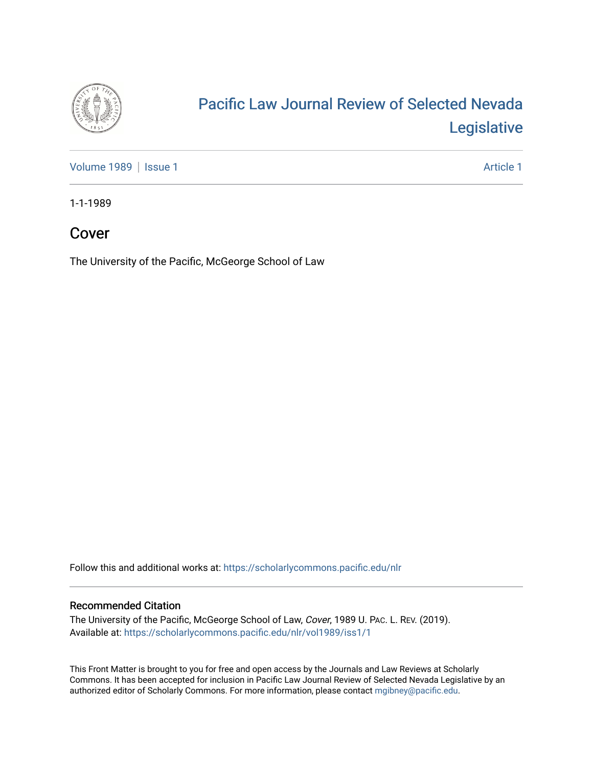

### [Pacific Law Journal Review of Selected Nevada](https://scholarlycommons.pacific.edu/nlr)  [Legislative](https://scholarlycommons.pacific.edu/nlr)

[Volume 1989](https://scholarlycommons.pacific.edu/nlr/vol1989) | [Issue 1](https://scholarlycommons.pacific.edu/nlr/vol1989/iss1) Article 1

1-1-1989

### Cover

The University of the Pacific, McGeorge School of Law

Follow this and additional works at: [https://scholarlycommons.pacific.edu/nlr](https://scholarlycommons.pacific.edu/nlr?utm_source=scholarlycommons.pacific.edu%2Fnlr%2Fvol1989%2Fiss1%2F1&utm_medium=PDF&utm_campaign=PDFCoverPages) 

#### Recommended Citation

The University of the Pacific, McGeorge School of Law, Cover, 1989 U. PAC. L. REV. (2019). Available at: [https://scholarlycommons.pacific.edu/nlr/vol1989/iss1/1](https://scholarlycommons.pacific.edu/nlr/vol1989/iss1/1?utm_source=scholarlycommons.pacific.edu%2Fnlr%2Fvol1989%2Fiss1%2F1&utm_medium=PDF&utm_campaign=PDFCoverPages) 

This Front Matter is brought to you for free and open access by the Journals and Law Reviews at Scholarly Commons. It has been accepted for inclusion in Pacific Law Journal Review of Selected Nevada Legislative by an authorized editor of Scholarly Commons. For more information, please contact [mgibney@pacific.edu](mailto:mgibney@pacific.edu).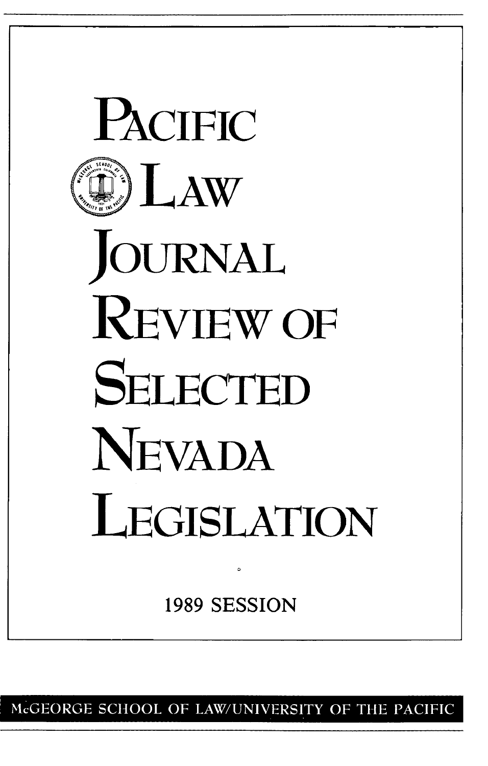

McGEORGE SCHOOL OF LAW/UNIVERSITY OF THE PACIFIC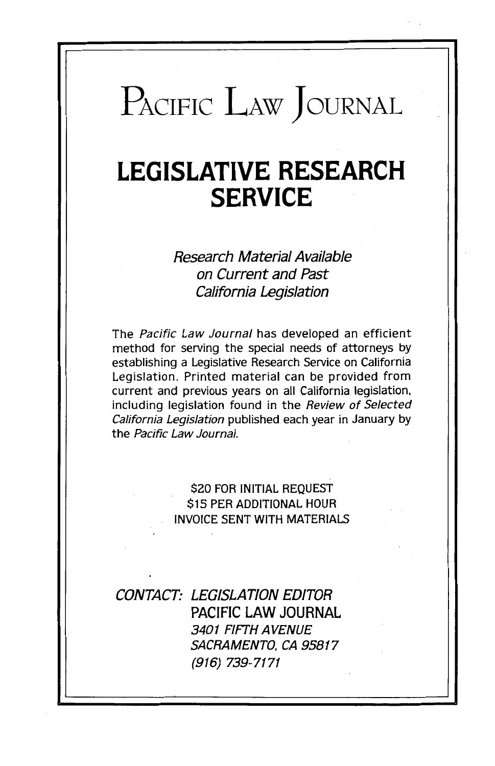# PACIFIC LAW JOURNAL

# **LEGISLATIVE RESEARCH SERVICE**

Research Material Available on Current and Past California Legislation

The Pacific Law Journal has developed an efficient method for serving the special needs of attorneys by establishing a Legislative Research Service on California Legislation. Printed material can be provided from current and previous years on all California legislation. including legislation found in the Review of Selected California Legislation published each year in January by the Pacific Law Journal.

#### \$20 FOR INITIAL REQUEST \$15 PER ADDITIONAL HOUR INVOICE SENT WITH MATERIALS

CONTACT: LEGISLATION EDITOR PACIFIC LAW JOURNAL 3401 FIFTH AVENUE SACRAMENTO. CA 95817 (916) 739-7171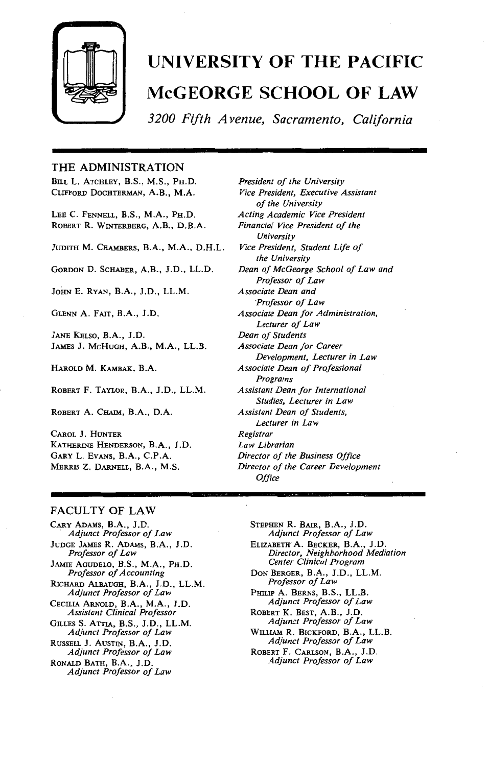

## **UNIVERSITY OF THE PACIFIC McGEORGE SCHOOL OF LAW**

*3200 Fifth A venue, Sacramento, California* 

#### THE ADMINISTRATION

BILL L. ATCHLEY, B.S., M.S., PH.D. CLIFFORD DocHTERMAN, A.B., M.A.

LEE C. FENNELL, B.S., M.A., PH.D. ROBERT R. WINTERBERG, A.B., D.B.A.

JUDITH M. CHAMBERS, B.A., M.A., D.H.L.

GoRDON D. SCHABER, A.B., J.D., LL.D.

JoHN E. RYAN, B.A., J.D., LL.M.

GLENN A. FAIT, B.A., J.D.

JANE KELSO, B.A., J.D. JAMES J. McHuGH, A.B., M.A., LL.B.

HARoLD M. KAMBAK, B.A.

RoBERT F. TAYLOR, B.A., J.D., LL.M.

ROBERT A. CHAIM, B.A., D.A.

CAROL J. HUNTER KATHERINE HENDERSON, B.A., J.D. GARY L. EvANs, B.A., C.P.A. MERRIS Z. DARNELL, B.A., M.S.

*President of the University Vice President, Executive Assistant of the University Acting Academic Vice President Financial Vice President of the University Vice President, Student Life of the University Dean of McGeorge School of Law and Professor of Law Associate Dean and Professor of Law Associate Dean for Administration, Lecturer of Law Dean of Students Associate Dean for Career Development, Lecturer in Law Associate Dean of Professional Programs Assistant Dean for International Studies, Lecturer in Law Assistant Dean of Students, Lecturer in Law Registrar Law Librarian Director of the Business Office Director of the Career Development Office* 

#### FACULTY OF LAW

CARY ADAMS, B.A., J.D. *Adjunct Professor of Law*  JUDGE JAMES R. ADAMS, B.A., J.D. *Professor of Law*  JAMIE AGUDELO, B.S., M.A., PH.D. *Professor of Accounting*  RicHARD ALBAUGH, B.A., J.D., LL.M. *Adjunct Professor of Law*  CECILIA ARNOLD, B.A., M.A., J.D. *Assistant Clinical Professor*  GILLES S. ATTIA, B.S., J.D., LL.M. *Adjunct Professor of Law*  RUSSELL J. AUSTIN, B.A., J.D. *Adjunct Professor of Law*  RONALD BATH, B.A., J.D. *Adjunct Professor of Law* 

STEPHEN R. BAIR, B.A., J.D. *Adjunct Professor of Law*  ELIZABETH' A. BECKER, B.A., J.D. *Director, Neighborhood Mediation Center Clinical Program*  DoN BERGER, B.A., J.D., LL.M. *Professor of Law*  PHILIP A. BERNS, B.S., LL.B. *Adjunct Professor of Law*  ROBERT K. BEST, A.B., J.D. *Adjunct Professor of Law*  WILLIAM R. BICKFORD, B.A., LL.B. *Adjunct Professor of Law*  RoBERT F. CARLSON, B.A., J.D. *Adjunct Professor of Law*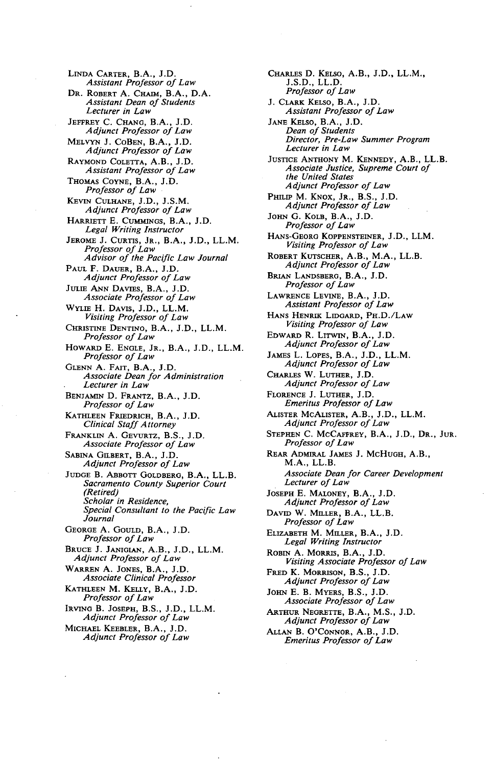LINDA CARTER, B.A., J.D. *Assistant Professor of Law*  DR. ROBERT A. CHAIM, B.A., D.A. *Assistant Dean of Students Lecturer in Law*  JEFFREY C. CHANG, B.A., J.D. *Adjunct Professor of Law*  MELVYN J. CoBEN, B.A., J.D. *Adjunct Professor of Law*  RAYMOND COLETTA, A.B., J.D. *Assistant Professor of Law*  THOMAS CoYNE, B.A., J.D. *Professor of Law*  KEVIN CULHANE, J.D., J.S.M. *Adjunct Professor of Law*  HARRIETT E. CuMMINGS, B.A., J.D. *Legal Writing Instructor*  JEROME J. CURTIS, JR., B.A., J.D., LL.M. *Professor of Law Advisor of the Pacific Law Journal*  PAUL F. DAUER, B.A., J.D. *Adjunct Professor of Law*  JULIE ANN DAVIES, B.A., J.D. *Associate Professor of Law*  WYLIE H. DAVIS, J.D., LL.M. *Visiting Professor of Law*  CHRISTINE DENTINO, B.A., J.D., LL.M. *Professor of Law*  HowARD E. ENGLE, JR., B.A., J.D., LL.M. *Professor of Law*  GLENN A. FAIT, B.A., J.D. *Associate Dean for Administration Lecturer in Law*  BENJAMIN D. FRANTZ, B.A., J.D. *Professor of Law*  KATHLEEN FRIEDRICH, B.A., J.D. *Clinical Staff Attorney*  FRANKLIN A. GEYURTZ, B.S., J.D. *Associate Professor of Law*  SABINA GILBERT, B.A., J.D. *Adjunct Professor of Law*  JUDGE B. ABBOTT GOLDBERG, B.A., LL.B. *Sacramento County Superior Court (Retired) Scholar in Residence, Special Consultant to the Pacific Law Journal*  GEORGE A. GOULD, B.A., J.D. *Professor of Law*  BRUCE J. JANIGIAN, A.B., J.D., LL.M. *Adjunct Professor of Law*  WARREN A. JONES, B.A., J.D. *Associate Clinical Professor*  KATHLEEN M. KELLY, B.A., J.D. *Professor of Law*  IRVING B. JoSEPH, B.S., J.D., LL.M. *Adjunct Professor of Law*  MICHAEL KEEBLER, B.A., J.D. *Adjunct Professor of Law* 

CHARLEs D. KELSO, A.B., J.D., LL.M., J.S.D., LL.D. *Professor of Law*  J. CLARK KELSo, B.A., J.D. *Assistant Professor of Law*  JANE KELSO, B.A., J.D. *Dean of Students Director, Pre-Law Summer Program Lecturer in Law*  JUSTICE ANTHONY M. KENNEDY, A.B., LL.B. *Associate Justice, Supreme Court of the United States Adjunct Professor of Law*  PHILIP M. KNOX, JR., B.S., J.D. *Adjunct Professor of Law*  JoHN G. KoLB, B.A., J.D. *Professor of Law*  HANS-GEORG KoPPENSTEINER, J.D., LLM. *Visiting Professor of Law*  ROBERT KUTSCHER, A.B., M.A., LL.B. *Adjunct Professor of Law*  BRIAN LANDSBERG, B.A., J.D. *Professor of Law*  LAWRENCE LEVINE, B.A., J.D. *Assistant Professor of Law*  HANs HENRIK LIDGARD, PH.D./LAW *Visiting Professor of Law*  EDWARD R. LITWIN, B.A., J.D. *Adjunct Professor of Law*  JAMEs L. LOPES, B.A., J.D., LL.M. *Adjunct Professor of Law*  CHARLEs W. LUTHER, J.D. *Adjunct Professor of Law*  FLORENCE J. LUTHER, J.D. *Emeritus Professor of Law*  ALISTER McALISTER, A.B., J.D., LL.M. *Adjunct Professor of Law*  STEPHEN C. McCAFFREY, B.A., J.D., DR., JuR. *Professor of Law*  REAR ADMIRAL JAMES J. McHuGH, A.B., M.A., LL.B. *Associate Dean for Career Development Lecturer of Law*  JOSEPH E. MALONEY, B.A., J.D. *Adjunct Professor of Law*  DAVID W. MILLER, B.A., LL.B. *Professor of Law*  ELIZABETH M. MILLER, B.A., J.D. *Legal Writing Instructor*  ROBIN A. MoRRIS, B.A., J.D. *Visiting Associate Professor of Law*  FRED K. MoRRISON, B.S., J.D. *Adjunct Professor of Law*  JOHN E. B. MYERS, B.S., J.D. *Associate Professor of Law*  ARTHUR NEGRETTE, B.A., M.S., J.D. *Adjunct Professor of Law*  ALLAN B. O'CoNNOR, A.B., J.D. *Emeritus Professor of Law*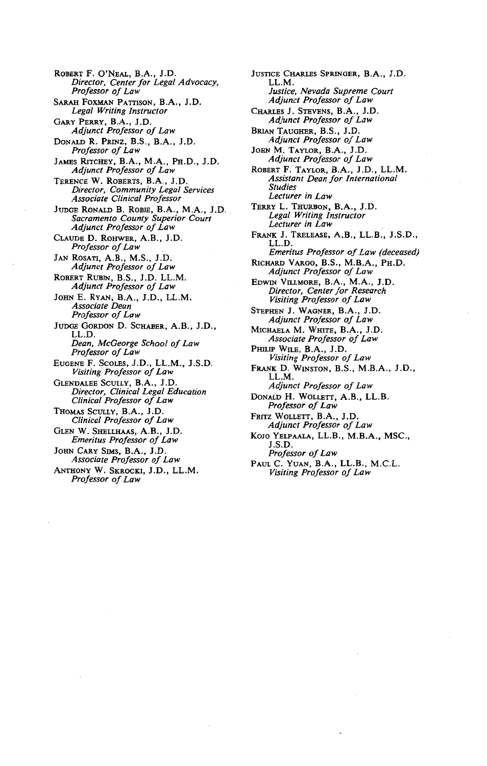ROBERT F. O'NEAL, B.A., J.D. *Director, Center for Legal Advocacy, Professor of Law*  SARAH FOXMAN PATTISON, B.A., J.D. *Legal Writing Instructor*  GARY PERRY, B.A., J.D. *Adjunct Professor of Law*  DONALD R. PRINZ, B.S., B.A., J.D. *Professor of Law*  JAMEs RITCHEY, B.A., M.A., PH.D., J.D. *Adjunct Professor of Law*  TERENCE W. ROBERTS, B.A., J.D. *Director, Community Legal Services Associate Clinical Professor*  JUDGE RoNALD B. RoBm, B.A., M.A., J.D. *Sacramento County Superior Court Adjunct Professor of Law*  CLAUDE D. RoHWER, A.B., J.D. *Professor of Law*  JAN ROSATI, A.B., M.S., J.D. *Adjunct Professor of Law*  ROBERT RUBIN, B.S., J.D. LL.M. *Adjunct Professor of Law*  JoHN E. RYAN, B.A., J.D., LL.M. *Associate Dean Professor of Law*  JUDOE GoRDON D. SCHABER, A.B., J.D., LL.D. *Dean, McGeorge School of Law Professor of Law*  EUGENE F. ScoLES, J.D., LL.M., J.S.D. *Visiting Professor of Law*  GLENDALEE SCULLY, B.A., J.D. *Director, Clinical Legal Education Clinical Professor of Law*  THoMAS SCULLY, B.A., J.D. *Clinical Professor of Law*  GLEN W. SHELLHAAS, A.B., J.D. *Emeritus Professor of Law*  JOHN CARY SIMS, B.A., J.D. *Associate Professor of Law*  ANTHONY W. SKROCKI, J.D., LL.M. *Professor of Law* 

JUSTICE CHARLES SPRINGER, B.A., J.D. LL.M. *Justice, Nevada Supreme Court Adjunct Professor of Law*  CHARLES J. STEVENS, B.A., J.D. *Adjunct Professor of Law*  BRIAN TAUGHER, B.S., J.D. *Adjunct Professor of Law*  JOHN M. TAYLOR, B.A., J.D. *Adjunct Professor of Law*  ROBERT F. TAYLOR, B.A., J.D., LL.M. *Assistant Dean for International Studies Lecturer in Law*  TERRY L. THURBON, B.A., J.D. *Legal Writing Instructor Lecturer in Law*  FRANK J. TRELEASE, A.B., LL.B., J.S.D., LL.D. *Emeritus Professor of Law (deceased)*  RICHARD VARGO, B.S., M.B.A., PH.D. *Adjunct Professor of Law*  EDWIN VILLMORE, B.A., M.A., J.D. *Director, Center for Research Visiting Professor of Law*  STEPHEN J. WAGNER, B.A., J.D. *Adjunct Professor of Law*  MICHAELA M. WmTE, B.A., J.D. *Associate Professor of Law*  PHILIP WILE, B.A., J.D. *Visiting Professor of Law*  FRANK D. WINSTON, B.S., M.B.A., J.D., LL.M. *Adjunct Professor of Law*  DONALD H. WOLLETT, A.B., LL.B. *Professor of Law*  FRITZ WOLLETT, B.A., J.D. *Adjunct Professor of Law*  KOJO YELPAALA, LL.B., M.B.A., MSC., J.S.D. *Professor of Law*  PAUL C. YuAN, B.A., LL.B., M.C.L.

*Visiting Professor of Law*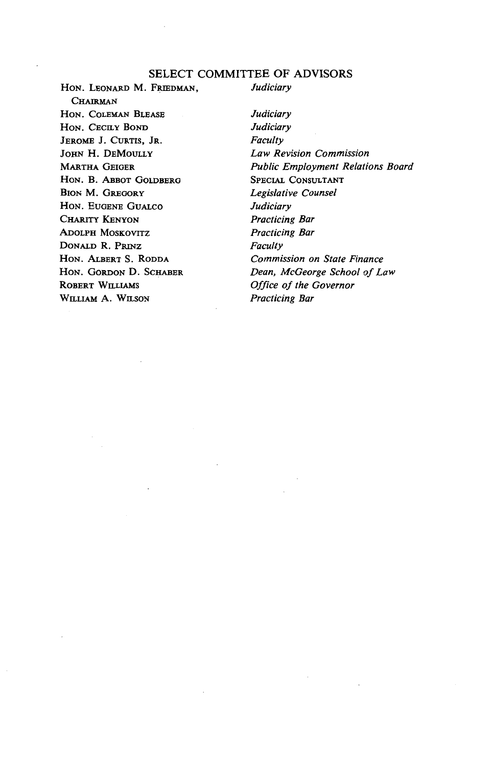#### SELECT COMMITTEE OF ADVISORS

HoN. LEONARD M. FRIEDMAN, **CHAIRMAN** HON. COLEMAN BLEASE HON. CECILY BOND JEROME J. CuRTIS, JR. JOHN H. DEMOULLY MARTHA GEIGER HoN. B. ABBoT GoLDBERG BION M. GREGORY HoN. EuGENE GuALco CHARITY KENYON ADOLPH MOSKOVITZ DONALD R. PRINZ HON. ALBERT S. RODDA HON. GORDON D. SCHABER ROBERT WILLIAMS WILLIAM A. WILSON

*Judiciary* 

*Judiciary Judiciary Faculty Law Revision Commission Public Employment Relations Board*  SPECIAL CONSULTANT *Legislative Counsel Judiciary Practicing Bar Practicing Bar Faculty Commission on State Finance Dean, McGeorge School of Law Office of the Governor Practicing Bar*